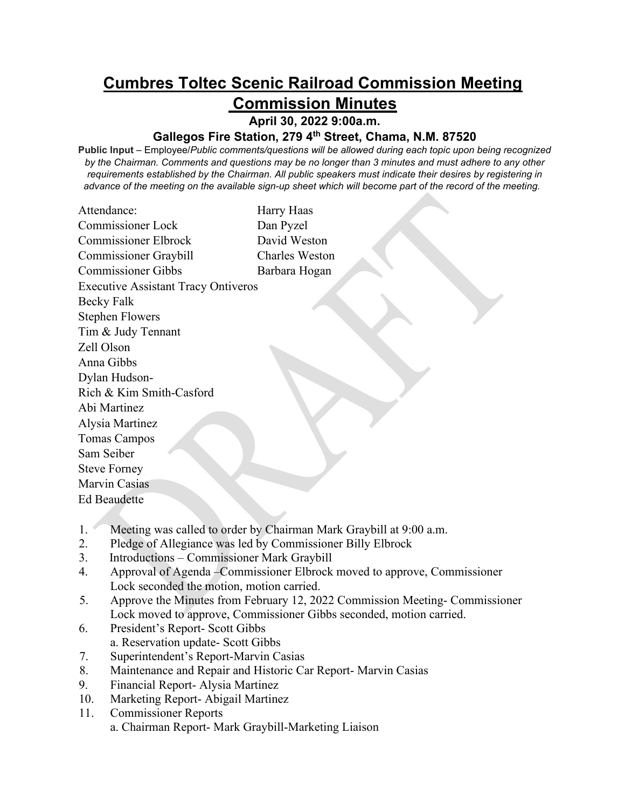## **Cumbres Toltec Scenic Railroad Commission Meeting Commission Minutes**

**April 30, 2022 9:00a.m.** 

## **Gallegos Fire Station, 279 4th Street, Chama, N.M. 87520**

**Public Input** – Employee/*Public comments/questions will be allowed during each topic upon being recognized by the Chairman. Comments and questions may be no longer than 3 minutes and must adhere to any other requirements established by the Chairman. All public speakers must indicate their desires by registering in advance of the meeting on the available sign-up sheet which will become part of the record of the meeting.* 

| Attendance:                                | Harry Haas            |
|--------------------------------------------|-----------------------|
| <b>Commissioner Lock</b>                   | Dan Pyzel             |
| <b>Commissioner Elbrock</b>                | David Weston          |
| Commissioner Graybill                      | <b>Charles Weston</b> |
| <b>Commissioner Gibbs</b>                  | Barbara Hogan         |
| <b>Executive Assistant Tracy Ontiveros</b> |                       |
| Becky Falk                                 |                       |
| <b>Stephen Flowers</b>                     |                       |
| Tim & Judy Tennant                         |                       |
| Zell Olson                                 |                       |
| Anna Gibbs                                 |                       |
| Dylan Hudson-                              |                       |
| Rich & Kim Smith-Casford                   |                       |
| Abi Martinez                               |                       |
| Alysia Martinez                            |                       |
| <b>Tomas Campos</b>                        |                       |
| Sam Seiber                                 |                       |
| <b>Steve Forney</b>                        |                       |
| Marvin Casias                              |                       |
| <b>Ed Beaudette</b>                        |                       |
|                                            |                       |

- 1. Meeting was called to order by Chairman Mark Graybill at 9:00 a.m.
- 2. Pledge of Allegiance was led by Commissioner Billy Elbrock
- 3. Introductions Commissioner Mark Graybill
- 4. Approval of Agenda –Commissioner Elbrock moved to approve, Commissioner Lock seconded the motion, motion carried.
- 5. Approve the Minutes from February 12, 2022 Commission Meeting- Commissioner Lock moved to approve, Commissioner Gibbs seconded, motion carried.
- 6. President's Report- Scott Gibbs a. Reservation update- Scott Gibbs
- 7. Superintendent's Report-Marvin Casias
- 8. Maintenance and Repair and Historic Car Report- Marvin Casias
- 9. Financial Report- Alysia Martinez
- 10. Marketing Report- Abigail Martinez
- 11. Commissioner Reports a. Chairman Report- Mark Graybill-Marketing Liaison